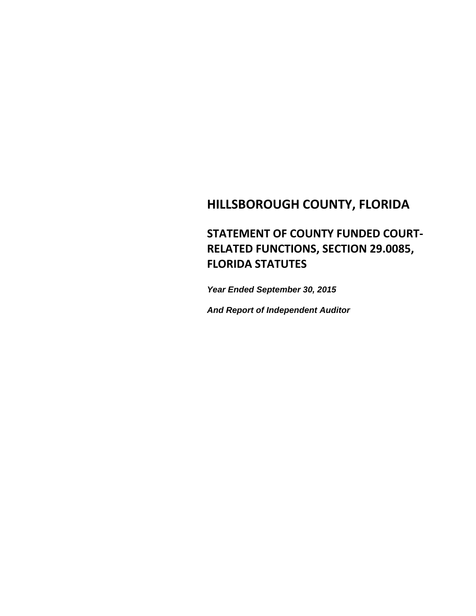# **HILLSBOROUGH COUNTY, FLORIDA**

# **STATEMENT OF COUNTY FUNDED COURT‐ RELATED FUNCTIONS, SECTION 29.0085, FLORIDA STATUTES**

*Year Ended September 30, 2015*

*And Report of Independent Auditor*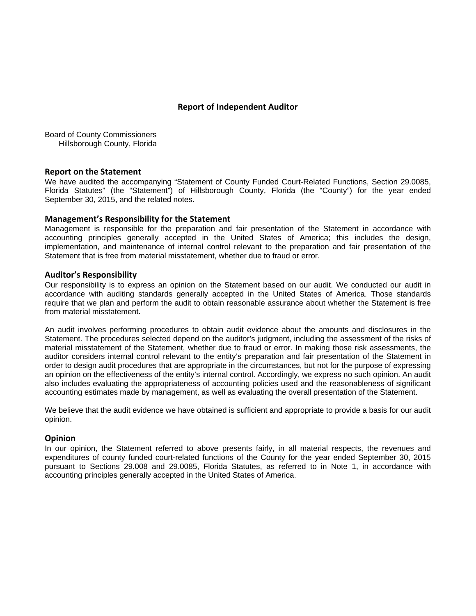#### **Report of Independent Auditor**

Board of County Commissioners Hillsborough County, Florida

#### **Report on the Statement**

We have audited the accompanying "Statement of County Funded Court-Related Functions, Section 29.0085, Florida Statutes" (the "Statement") of Hillsborough County, Florida (the "County") for the year ended September 30, 2015, and the related notes.

#### **Management's Responsibility for the Statement**

Management is responsible for the preparation and fair presentation of the Statement in accordance with accounting principles generally accepted in the United States of America; this includes the design, implementation, and maintenance of internal control relevant to the preparation and fair presentation of the Statement that is free from material misstatement, whether due to fraud or error.

#### **Auditor's Responsibility**

Our responsibility is to express an opinion on the Statement based on our audit. We conducted our audit in accordance with auditing standards generally accepted in the United States of America. Those standards require that we plan and perform the audit to obtain reasonable assurance about whether the Statement is free from material misstatement.

An audit involves performing procedures to obtain audit evidence about the amounts and disclosures in the Statement. The procedures selected depend on the auditor's judgment, including the assessment of the risks of material misstatement of the Statement, whether due to fraud or error. In making those risk assessments, the auditor considers internal control relevant to the entity's preparation and fair presentation of the Statement in order to design audit procedures that are appropriate in the circumstances, but not for the purpose of expressing an opinion on the effectiveness of the entity's internal control. Accordingly, we express no such opinion. An audit also includes evaluating the appropriateness of accounting policies used and the reasonableness of significant accounting estimates made by management, as well as evaluating the overall presentation of the Statement.

We believe that the audit evidence we have obtained is sufficient and appropriate to provide a basis for our audit opinion.

#### **Opinion**

In our opinion, the Statement referred to above presents fairly, in all material respects, the revenues and expenditures of county funded court-related functions of the County for the year ended September 30, 2015 pursuant to Sections 29.008 and 29.0085, Florida Statutes, as referred to in Note 1, in accordance with accounting principles generally accepted in the United States of America.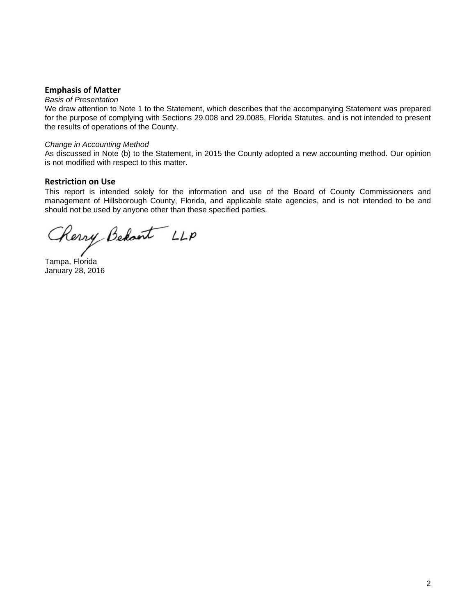#### **Emphasis of Matter**

#### *Basis of Presentation*

We draw attention to Note 1 to the Statement, which describes that the accompanying Statement was prepared for the purpose of complying with Sections 29.008 and 29.0085, Florida Statutes, and is not intended to present the results of operations of the County.

#### *Change in Accounting Method*

As discussed in Note (b) to the Statement, in 2015 the County adopted a new accounting method. Our opinion is not modified with respect to this matter.

#### **Restriction on Use**

This report is intended solely for the information and use of the Board of County Commissioners and management of Hillsborough County, Florida, and applicable state agencies, and is not intended to be and should not be used by anyone other than these specified parties.

Cherry Behant LLP

Tampa, Florida January 28, 2016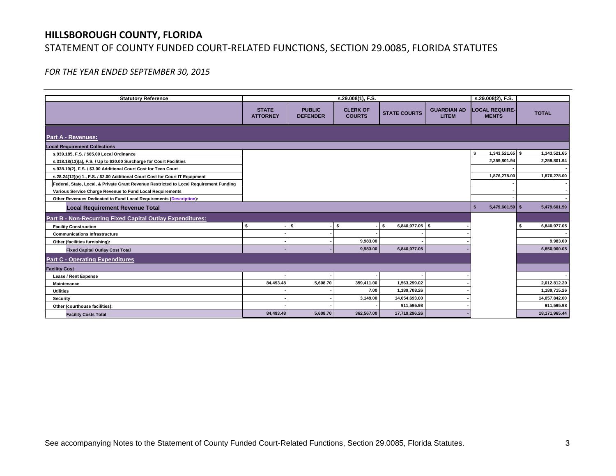# **HILLSBOROUGH COUNTY, FLORIDA** STATEMENT OF COUNTY FUNDED COURT‐RELATED FUNCTIONS, SECTION 29.0085, FLORIDA STATUTES

*FOR THE YEAR ENDED SEPTEMBER 30, 2015*

| <b>Statutory Reference</b>                                                             |                                 |                                  | s.29.008(2), F.S.                |                         |                                    |                                       |               |
|----------------------------------------------------------------------------------------|---------------------------------|----------------------------------|----------------------------------|-------------------------|------------------------------------|---------------------------------------|---------------|
|                                                                                        | <b>STATE</b><br><b>ATTORNEY</b> | <b>PUBLIC</b><br><b>DEFENDER</b> | <b>CLERK OF</b><br><b>COURTS</b> | <b>STATE COURTS</b>     | <b>GUARDIAN AD</b><br><b>LITEM</b> | <b>LOCAL REQUIRE-</b><br><b>MENTS</b> | <b>TOTAL</b>  |
| <b>Part A - Revenues:</b>                                                              |                                 |                                  |                                  |                         |                                    |                                       |               |
| <b>Local Requirement Collections</b>                                                   |                                 |                                  |                                  |                         |                                    |                                       |               |
| s.939.185, F.S. / \$65.00 Local Ordinance                                              |                                 |                                  |                                  |                         |                                    | 1,343,521.65 \$<br>\$                 | 1,343,521.65  |
| s.318.18(13)(a), F.S. / Up to \$30.00 Surcharge for Court Facilities                   |                                 |                                  |                                  |                         |                                    | 2,259,801.94                          | 2,259,801.94  |
| s.938.19(2), F.S. / \$3.00 Additional Court Cost for Teen Court                        |                                 |                                  |                                  |                         |                                    |                                       |               |
| s.28.24(12)(e) 1., F.S. / \$2.00 Additional Court Cost for Court IT Equipment          |                                 |                                  |                                  |                         |                                    | 1,876,278.00                          | 1,876,278.00  |
| Federal, State, Local, & Private Grant Revenue Restricted to Local Requirement Funding |                                 |                                  |                                  |                         |                                    |                                       |               |
| Various Service Charge Revenue to Fund Local Requirements                              |                                 |                                  |                                  |                         |                                    |                                       |               |
| Other Revenues Dedicated to Fund Local Requirements (Description):                     |                                 |                                  |                                  |                         |                                    |                                       |               |
| <b>Local Requirement Revenue Total</b>                                                 |                                 |                                  |                                  |                         |                                    | 5,479,601.59 \$<br>S                  | 5,479,601.59  |
| Part B - Non-Recurring Fixed Capital Outlay Expenditures:                              |                                 |                                  |                                  |                         |                                    |                                       |               |
| <b>Facility Construction</b>                                                           | S.                              | l S                              | l S                              | $6,840,977.05$ \$<br>s. |                                    |                                       | 6,840,977.05  |
| <b>Communications Infrastructure</b>                                                   |                                 |                                  |                                  |                         |                                    |                                       |               |
| Other (facilities furnishing):                                                         |                                 |                                  | 9,983.00                         |                         |                                    |                                       | 9,983.00      |
| <b>Fixed Capital Outlay Cost Total</b>                                                 |                                 |                                  | 9,983.00                         | 6,840,977.05            |                                    |                                       | 6,850,960.05  |
| <b>Part C - Operating Expenditures</b>                                                 |                                 |                                  |                                  |                         |                                    |                                       |               |
| <b>Facility Cost</b>                                                                   |                                 |                                  |                                  |                         |                                    |                                       |               |
| <b>Lease / Rent Expense</b>                                                            |                                 |                                  |                                  |                         |                                    |                                       |               |
| <b>Maintenance</b>                                                                     | 84,493.48                       | 5,608.70                         | 359,411.00                       | 1,563,299.02            |                                    |                                       | 2,012,812.20  |
| <b>Utilities</b>                                                                       |                                 |                                  | 7.00                             | 1,189,708.26            |                                    |                                       | 1,189,715.26  |
| <b>Security</b>                                                                        |                                 |                                  | 3,149.00                         | 14,054,693.00           |                                    |                                       | 14,057,842.00 |
| Other (courthouse facilities):                                                         |                                 |                                  |                                  | 911,595.98              |                                    |                                       | 911,595.98    |
| <b>Facility Costs Total</b>                                                            | 84,493.48                       | 5,608.70                         | 362,567.00                       | 17,719,296.26           |                                    |                                       | 18,171,965.44 |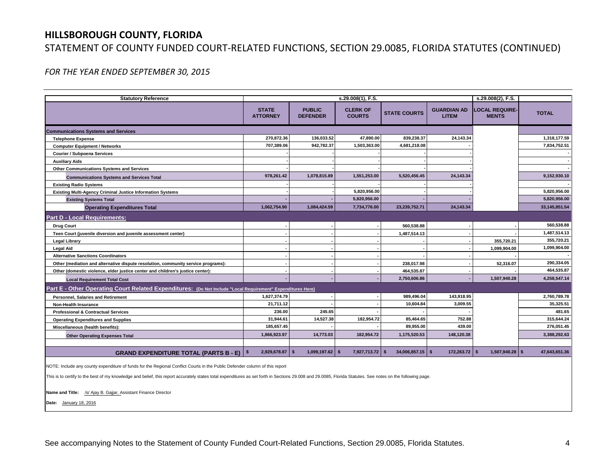### **HILLSBOROUGH COUNTY, FLORIDA**

### STATEMENT OF COUNTY FUNDED COURT‐RELATED FUNCTIONS, SECTION 29.0085, FLORIDA STATUTES (CONTINUED)

*FOR THE YEAR ENDED SEPTEMBER 30, 2015*

| <b>Statutory Reference</b>                                                                                  | s.29.008(1), F.S.               |                                  |                                  |                           |                                    | s.29.008(2), F.S.                     |                 |  |  |
|-------------------------------------------------------------------------------------------------------------|---------------------------------|----------------------------------|----------------------------------|---------------------------|------------------------------------|---------------------------------------|-----------------|--|--|
|                                                                                                             | <b>STATE</b><br><b>ATTORNEY</b> | <b>PUBLIC</b><br><b>DEFENDER</b> | <b>CLERK OF</b><br><b>COURTS</b> | <b>STATE COURTS</b>       | <b>GUARDIAN AD</b><br><b>LITEM</b> | <b>LOCAL REQUIRE-</b><br><b>MENTS</b> | <b>TOTAL</b>    |  |  |
| <b>Communications Systems and Services</b>                                                                  |                                 |                                  |                                  |                           |                                    |                                       |                 |  |  |
| <b>Telephone Expense</b>                                                                                    | 270,872.36                      | 136,033.52                       | 47,890.00                        | 839,238.37                | 24,143.34                          |                                       | 1,318,177.59    |  |  |
| <b>Computer Equipment / Networks</b>                                                                        | 707,389.06                      | 942,782.37                       | 1,503,363.00                     | 4,681,218.08              |                                    |                                       | 7,834,752.51    |  |  |
| <b>Courier / Subpoena Services</b>                                                                          |                                 |                                  |                                  |                           |                                    |                                       |                 |  |  |
| <b>Auxiliary Aids</b>                                                                                       |                                 |                                  |                                  |                           |                                    |                                       |                 |  |  |
| <b>Other Communications Systems and Services</b>                                                            |                                 |                                  |                                  |                           |                                    |                                       |                 |  |  |
| <b>Communications Systems and Services Total</b>                                                            | 978,261.42                      | 1,078,815.89                     | 1,551,253.00                     | 5,520,456.45              | 24,143.34                          |                                       | 9,152,930.10    |  |  |
| <b>Existing Radio Systems</b>                                                                               |                                 |                                  |                                  |                           |                                    |                                       |                 |  |  |
| <b>Existing Multi-Agency Criminal Justice Information Systems</b>                                           |                                 |                                  | 5,820,956.00                     |                           |                                    |                                       | 5,820,956.00    |  |  |
| <b>Existing Systems Total</b>                                                                               |                                 |                                  | 5,820,956.00                     |                           |                                    |                                       | 5,820,956.00    |  |  |
| <b>Operating Expenditures Total</b>                                                                         | 1,062,754.90                    | 1.084.424.59                     | 7,734,776.00                     | 23,239,752.71             | 24.143.34                          |                                       | 33, 145, 851.54 |  |  |
| <b>Part D - Local Requirements:</b>                                                                         |                                 |                                  |                                  |                           |                                    |                                       |                 |  |  |
| <b>Drug Court</b>                                                                                           |                                 |                                  |                                  | 560,538.88                |                                    |                                       | 560,538.88      |  |  |
| Teen Court (juvenile diversion and juvenile assessment center)                                              |                                 |                                  |                                  | 1,487,514.13              |                                    |                                       | 1,487,514.13    |  |  |
| <b>Legal Library</b>                                                                                        |                                 |                                  |                                  |                           |                                    | 355.720.21                            | 355,720.21      |  |  |
| <b>Legal Aid</b>                                                                                            |                                 |                                  |                                  |                           |                                    | 1,099,904.00                          | 1,099,904.00    |  |  |
| <b>Alternative Sanctions Coordinators</b>                                                                   |                                 |                                  |                                  |                           |                                    |                                       |                 |  |  |
| Other (mediation and alternative dispute resolution, community service programs):                           |                                 |                                  |                                  | 238,017.98                |                                    | 52,316.07                             | 290,334.05      |  |  |
| Other (domestic violence, elder justice center and children's justice center):                              |                                 |                                  |                                  | 464,535.87                |                                    |                                       | 464,535.87      |  |  |
| <b>Local Requirement Total Cost</b>                                                                         |                                 |                                  |                                  | 2,750,606.86              |                                    | 1,507,940.28                          | 4,258,547.14    |  |  |
| Part E - Other Operating Court Related Expenditures: (Do Not Include "Local Requirement" Expenditures Here) |                                 |                                  |                                  |                           |                                    |                                       |                 |  |  |
| <b>Personnel, Salaries and Retirement</b>                                                                   | 1,627,374.79                    |                                  |                                  | 989,496.04                | 143,918.95                         |                                       | 2,760,789.78    |  |  |
| <b>Non-Health Insurance</b>                                                                                 | 21,711.12                       |                                  |                                  | 10,604.84                 | 3,009.55                           |                                       | 35,325.51       |  |  |
| <b>Professional &amp; Contractual Services</b>                                                              | 236.00                          | 245.65                           |                                  |                           |                                    |                                       | 481.65          |  |  |
| <b>Operating Expenditures and Supplies</b>                                                                  | 31,944.61                       | 14,527.38                        | 182,954.72                       | 85,464.65                 | 752.88                             |                                       | 315,644.24      |  |  |
| Miscellaneous (health benefits):                                                                            | 185.657.45                      |                                  |                                  | 89.955.00                 | 439.00                             |                                       | 276.051.45      |  |  |
| <b>Other Operating Expenses Total</b>                                                                       | 1.866.923.97                    | 14.773.03                        | 182.954.72                       | 1,175,520.53              | 148.120.38                         |                                       | 3,388,292.63    |  |  |
|                                                                                                             |                                 |                                  |                                  |                           |                                    |                                       |                 |  |  |
| <b>GRAND EXPENDITURE TOTAL (PARTS B - E)   \$</b>                                                           | 2,929,678.87                    | l s<br>$1,099,197.62$ \$         | 7,927,713.72                     | 34,006,857.15<br><b>S</b> | 172,263.72<br>- \$                 | $1,507,940.28$ \ \$<br>- \$           | 47,643,651.36   |  |  |

NOTE: Include any county expenditure of funds for the Regional Conflict Courts in the Public Defender column of this report

This is to certify to the best of my knowledge and belief, this report accurately states total expenditures as set forth in Sections 29.008 and 29.0085, Florida Statutes. See notes on the following page.

**Name and Title:** /s/ Ajay B. Gajjar, Assistant Finance Director

**Date:** January 18, 2016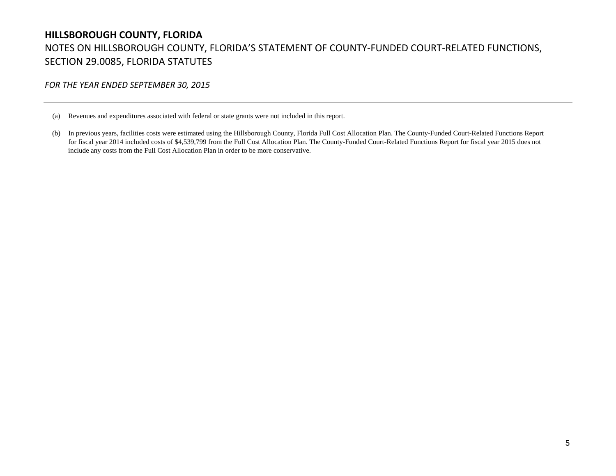# **HILLSBOROUGH COUNTY, FLORIDA** NOTES ON HILLSBOROUGH COUNTY, FLORIDA'S STATEMENT OF COUNTY‐FUNDED COURT‐RELATED FUNCTIONS, SECTION 29.0085, FLORIDA STATUTES

*FOR THE YEAR ENDED SEPTEMBER 30, 2015*

(a) Revenues and expenditures associated with federal or state grants were not included in this report.

(b) In previous years, facilities costs were estimated using the Hillsborough County, Florida Full Cost Allocation Plan. The County-Funded Court-Related Functions Report for fiscal year 2014 included costs of \$4,539,799 from the Full Cost Allocation Plan. The County-Funded Court-Related Functions Report for fiscal year 2015 does not include any costs from the Full Cost Allocation Plan in order to be more conservative.